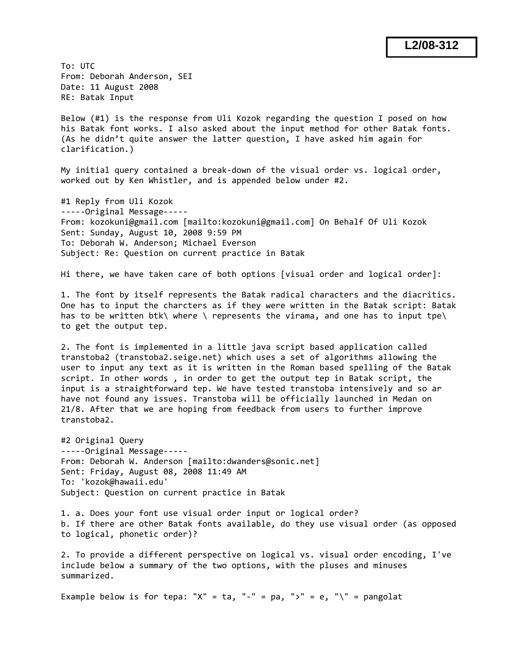To: UTC From: Deborah Anderson, SEI Date: 11 August 2008 RE: Batak Input

Below (#1) is the response from Uli Kozok regarding the question I posed on how his Batak font works. I also asked about the input method for other Batak fonts. (As he didn't quite answer the latter question, I have asked him again for clarification.)

My initial query contained a break-down of the visual order vs. logical order, worked out by Ken Whistler, and is appended below under #2.

#1 Reply from Uli Kozok ‐‐‐‐‐Original Message‐‐‐‐‐ From: kozokuni@gmail.com [mailto:kozokuni@gmail.com] On Behalf Of Uli Kozok Sent: Sunday, August 10, 2008 9:59 PM To: Deborah W. Anderson; Michael Everson Subject: Re: Question on current practice in Batak

Hi there, we have taken care of both options [visual order and logical order]:

1. The font by itself represents the Batak radical characters and the diacritics. One has to input the charcters as if they were written in the Batak script: Batak has to be written btk\ where \ represents the virama, and one has to input tpe\ to get the output tep.

2. The font is implemented in a little java script based application called transtoba2 (transtoba2.seige.net) which uses a set of algorithms allowing the user to input any text as it is written in the Roman based spelling of the Batak script. In other words , in order to get the output tep in Batak script, the input is a straightforward tep. We have tested transtoba intensively and so ar have not found any issues. Transtoba will be officially launched in Medan on 21/8. After that we are hoping from feedback from users to further improve transtoba2.

#2 Original Query ‐‐‐‐‐Original Message‐‐‐‐‐ From: Deborah W. Anderson [mailto:dwanders@sonic.net] Sent: Friday, August 08, 2008 11:49 AM To: 'kozok@hawaii.edu' Subject: Question on current practice in Batak

1. a. Does your font use visual order input or logical order? b. If there are other Batak fonts available, do they use visual order (as opposed to logical, phonetic order)?

2. To provide a different perspective on logical vs. visual order encoding, I've include below a summary of the two options, with the pluses and minuses summarized.

Example below is for tepa: "X" = ta, "-" = pa, ">" = e, "\" = pangolat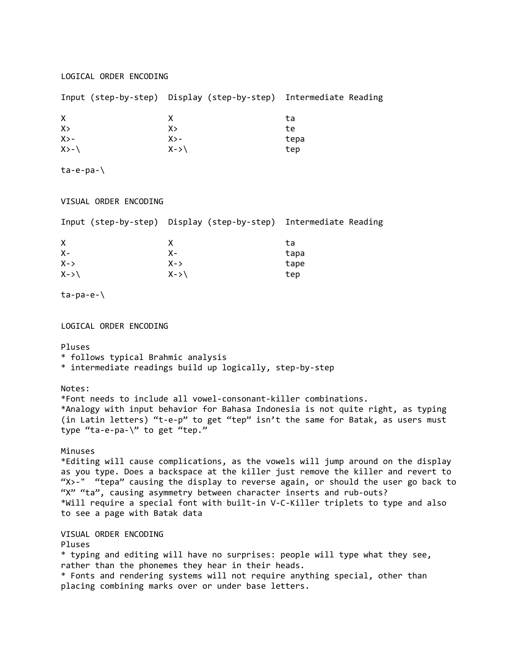### LOGICAL ORDER ENCODING

|          | Input (step-by-step) Display (step-by-step) Intermediate Reading |      |
|----------|------------------------------------------------------------------|------|
| X.       |                                                                  | ta   |
| X >      | X>                                                               | te   |
| $X > -$  | $X > -$                                                          | tepa |
| $X > -1$ | $X - \gt$                                                        | tep  |

ta‐e‐pa‐\

## VISUAL ORDER ENCODING

|           | Input (step-by-step) Display (step-by-step) Intermediate Reading |      |
|-----------|------------------------------------------------------------------|------|
| X         |                                                                  | ta   |
| $X -$     | $X -$                                                            | tapa |
| $X - \gt$ | $X - y$                                                          | tape |
| $X - \gt$ | $X - \gt 1$                                                      | tep  |

ta‐pa‐e‐\

LOGICAL ORDER ENCODING

### Pluses

\* follows typical Brahmic analysis

\* intermediate readings build up logically, step‐by‐step

#### Notes:

\*Font needs to include all vowel‐consonant‐killer combinations. \*Analogy with input behavior for Bahasa Indonesia is not quite right, as typing (in Latin letters) "t‐e‐p" to get "tep" isn't the same for Batak, as users must type "ta-e-pa-\" to get "tep."

# Minuses

\*Editing will cause complications, as the vowels will jump around on the display as you type. Does a backspace at the killer just remove the killer and revert to "X>‐" "tepa" causing the display to reverse again, or should the user go back to "X" "ta", causing asymmetry between character inserts and rub‐outs? \*Will require a special font with built‐in V‐C‐Killer triplets to type and also to see a page with Batak data

VISUAL ORDER ENCODING

### Pluses

\* typing and editing will have no surprises: people will type what they see, rather than the phonemes they hear in their heads. \* Fonts and rendering systems will not require anything special, other than placing combining marks over or under base letters.